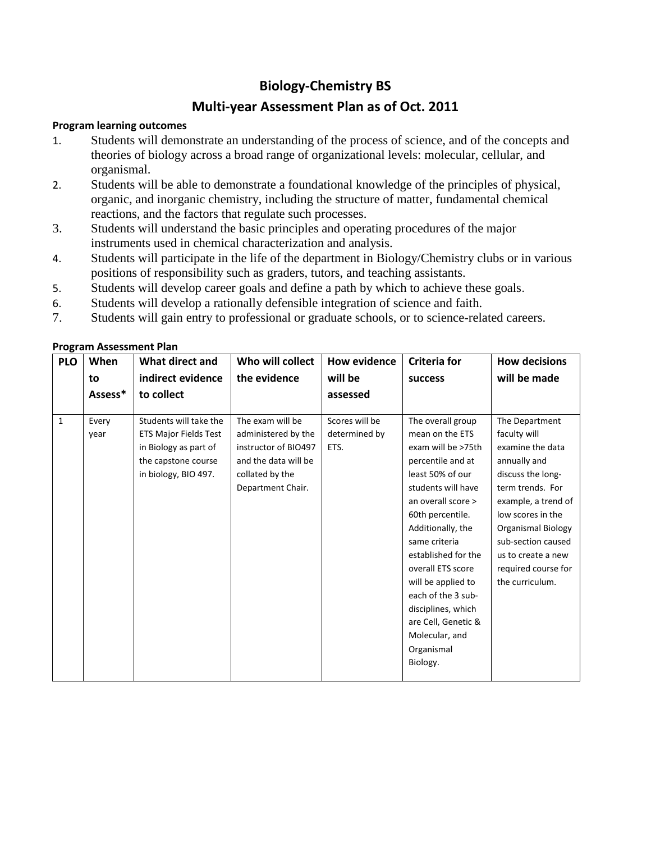## **Biology-Chemistry BS**

## **Multi-year Assessment Plan as of Oct. 2011**

## **Program learning outcomes**

- 1. Students will demonstrate an understanding of the process of science, and of the concepts and theories of biology across a broad range of organizational levels: molecular, cellular, and organismal.
- 2. Students will be able to demonstrate a foundational knowledge of the principles of physical, organic, and inorganic chemistry, including the structure of matter, fundamental chemical reactions, and the factors that regulate such processes.
- 3. Students will understand the basic principles and operating procedures of the major instruments used in chemical characterization and analysis.
- 4. Students will participate in the life of the department in Biology/Chemistry clubs or in various positions of responsibility such as graders, tutors, and teaching assistants.
- 5. Students will develop career goals and define a path by which to achieve these goals.
- 6. Students will develop a rationally defensible integration of science and faith.
- 7. Students will gain entry to professional or graduate schools, or to science-related careers.

| <b>PLO</b>   | When    | What direct and              | Who will collect     | <b>How evidence</b> | <b>Criteria for</b> | <b>How decisions</b> |
|--------------|---------|------------------------------|----------------------|---------------------|---------------------|----------------------|
|              | to      | indirect evidence            | the evidence         | will be             | <b>success</b>      | will be made         |
|              | Assess* | to collect                   |                      | assessed            |                     |                      |
|              |         |                              |                      |                     |                     |                      |
| $\mathbf{1}$ | Every   | Students will take the       | The exam will be     | Scores will be      | The overall group   | The Department       |
|              | year    | <b>ETS Major Fields Test</b> | administered by the  | determined by       | mean on the ETS     | faculty will         |
|              |         | in Biology as part of        | instructor of BIO497 | ETS.                | exam will be >75th  | examine the data     |
|              |         | the capstone course          | and the data will be |                     | percentile and at   | annually and         |
|              |         | in biology, BIO 497.         | collated by the      |                     | least 50% of our    | discuss the long-    |
|              |         |                              | Department Chair.    |                     | students will have  | term trends. For     |
|              |         |                              |                      |                     | an overall score >  | example, a trend of  |
|              |         |                              |                      |                     | 60th percentile.    | low scores in the    |
|              |         |                              |                      |                     | Additionally, the   | Organismal Biology   |
|              |         |                              |                      |                     | same criteria       | sub-section caused   |
|              |         |                              |                      |                     | established for the | us to create a new   |
|              |         |                              |                      |                     | overall ETS score   | required course for  |
|              |         |                              |                      |                     | will be applied to  | the curriculum.      |
|              |         |                              |                      |                     | each of the 3 sub-  |                      |
|              |         |                              |                      |                     | disciplines, which  |                      |
|              |         |                              |                      |                     | are Cell, Genetic & |                      |
|              |         |                              |                      |                     | Molecular, and      |                      |
|              |         |                              |                      |                     | Organismal          |                      |
|              |         |                              |                      |                     | Biology.            |                      |
|              |         |                              |                      |                     |                     |                      |

## **Program Assessment Plan**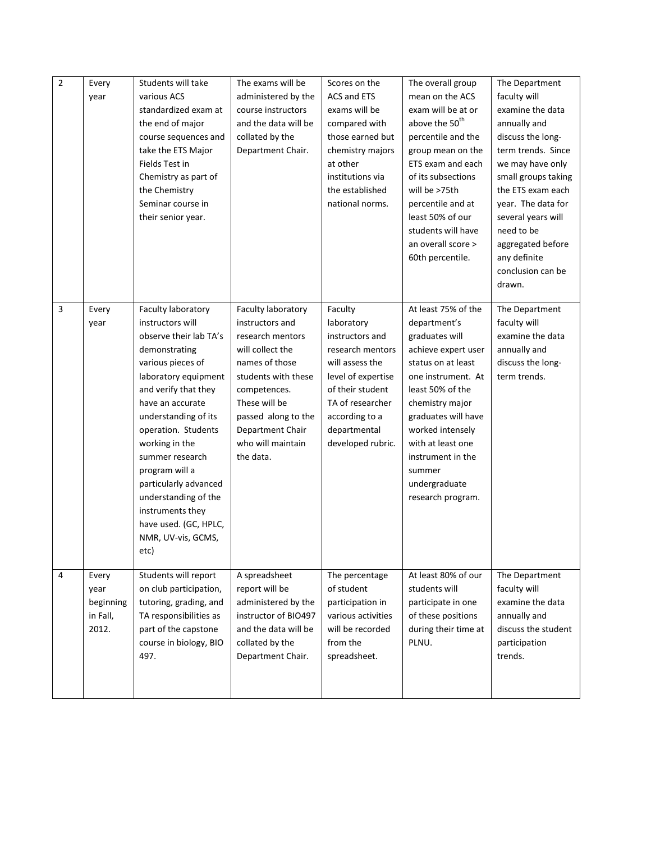| $\overline{2}$ | Every     | Students will take                        | The exams will be                    | Scores on the                       | The overall group                         | The Department                    |
|----------------|-----------|-------------------------------------------|--------------------------------------|-------------------------------------|-------------------------------------------|-----------------------------------|
|                | year      | various ACS                               | administered by the                  | <b>ACS and ETS</b>                  | mean on the ACS                           | faculty will                      |
|                |           | standardized exam at                      | course instructors                   | exams will be                       | exam will be at or                        | examine the data                  |
|                |           | the end of major                          | and the data will be                 | compared with                       | above the 50 <sup>th</sup>                | annually and                      |
|                |           | course sequences and                      | collated by the                      | those earned but                    | percentile and the                        | discuss the long-                 |
|                |           | take the ETS Major                        | Department Chair.                    | chemistry majors                    | group mean on the                         | term trends. Since                |
|                |           | Fields Test in                            |                                      | at other                            | ETS exam and each                         | we may have only                  |
|                |           | Chemistry as part of                      |                                      | institutions via                    | of its subsections                        | small groups taking               |
|                |           | the Chemistry                             |                                      | the established                     | will be >75th                             | the ETS exam each                 |
|                |           | Seminar course in                         |                                      | national norms.                     | percentile and at                         | year. The data for                |
|                |           | their senior year.                        |                                      |                                     | least 50% of our                          | several years will                |
|                |           |                                           |                                      |                                     | students will have                        | need to be                        |
|                |           |                                           |                                      |                                     | an overall score >                        | aggregated before                 |
|                |           |                                           |                                      |                                     | 60th percentile.                          | any definite                      |
|                |           |                                           |                                      |                                     |                                           | conclusion can be                 |
|                |           |                                           |                                      |                                     |                                           | drawn.                            |
|                |           |                                           |                                      |                                     |                                           |                                   |
| $\overline{3}$ | Every     | Faculty laboratory                        | Faculty laboratory                   | Faculty                             | At least 75% of the                       | The Department                    |
|                | year      | instructors will                          | instructors and                      | laboratory                          | department's                              | faculty will                      |
|                |           | observe their lab TA's                    | research mentors<br>will collect the | instructors and<br>research mentors | graduates will                            | examine the data                  |
|                |           | demonstrating                             | names of those                       | will assess the                     | achieve expert user<br>status on at least | annually and<br>discuss the long- |
|                |           | various pieces of<br>laboratory equipment | students with these                  | level of expertise                  | one instrument. At                        | term trends.                      |
|                |           | and verify that they                      | competences.                         | of their student                    | least 50% of the                          |                                   |
|                |           | have an accurate                          | These will be                        | TA of researcher                    | chemistry major                           |                                   |
|                |           | understanding of its                      | passed along to the                  | according to a                      | graduates will have                       |                                   |
|                |           | operation. Students                       | Department Chair                     | departmental                        | worked intensely                          |                                   |
|                |           | working in the                            | who will maintain                    | developed rubric.                   | with at least one                         |                                   |
|                |           | summer research                           | the data.                            |                                     | instrument in the                         |                                   |
|                |           | program will a                            |                                      |                                     | summer                                    |                                   |
|                |           | particularly advanced                     |                                      |                                     | undergraduate                             |                                   |
|                |           | understanding of the                      |                                      |                                     | research program.                         |                                   |
|                |           | instruments they                          |                                      |                                     |                                           |                                   |
|                |           | have used. (GC, HPLC,                     |                                      |                                     |                                           |                                   |
|                |           | NMR, UV-vis, GCMS,                        |                                      |                                     |                                           |                                   |
|                |           | etc)                                      |                                      |                                     |                                           |                                   |
|                |           |                                           |                                      |                                     |                                           |                                   |
| $\overline{4}$ | Every     | Students will report                      | A spreadsheet                        | The percentage                      | At least 80% of our                       | The Department                    |
|                | year      | on club participation,                    | report will be                       | of student                          | students will                             | faculty will                      |
|                | beginning | tutoring, grading, and                    | administered by the                  | participation in                    | participate in one                        | examine the data                  |
|                | in Fall,  | TA responsibilities as                    | instructor of BIO497                 | various activities                  | of these positions                        | annually and                      |
|                | 2012.     | part of the capstone                      | and the data will be                 | will be recorded                    | during their time at                      | discuss the student               |
|                |           | course in biology, BIO                    | collated by the                      | from the                            | PLNU.                                     | participation                     |
|                |           | 497.                                      | Department Chair.                    | spreadsheet.                        |                                           | trends.                           |
|                |           |                                           |                                      |                                     |                                           |                                   |
|                |           |                                           |                                      |                                     |                                           |                                   |
|                |           |                                           |                                      |                                     |                                           |                                   |